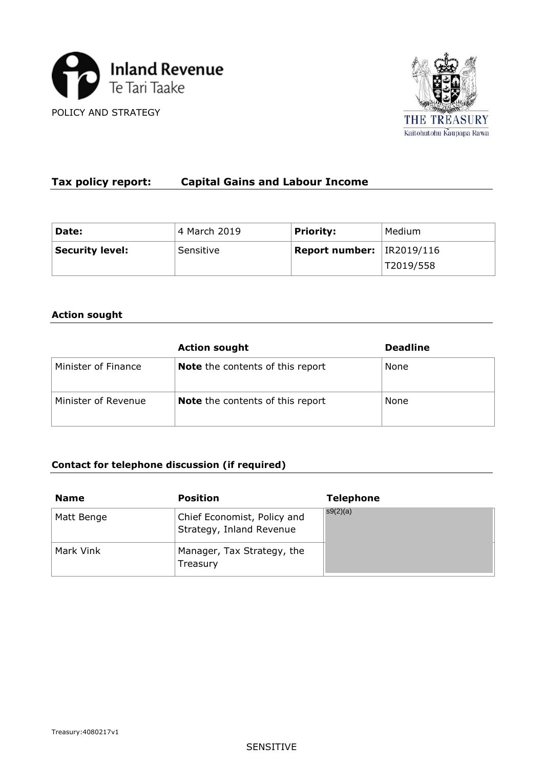



# **Tax policy report: Capital Gains and Labour Income**

| Date:           | 4 March 2019 | <b>Priority:</b>                     | Medium    |
|-----------------|--------------|--------------------------------------|-----------|
| Security level: | Sensitive    | <b>Report number:</b> $ $ IR2019/116 |           |
|                 |              |                                      | T2019/558 |

## **Action sought**

|                     | <b>Action sought</b>                    | <b>Deadline</b> |
|---------------------|-----------------------------------------|-----------------|
| Minister of Finance | <b>Note</b> the contents of this report | None            |
| Minister of Revenue | <b>Note</b> the contents of this report | None            |

# **Contact for telephone discussion (if required)**

| <b>Name</b> | <b>Position</b>                                         | <b>Telephone</b> |
|-------------|---------------------------------------------------------|------------------|
| Matt Benge  | Chief Economist, Policy and<br>Strategy, Inland Revenue | s9(2)(a)         |
| Mark Vink   | Manager, Tax Strategy, the<br>Treasury                  |                  |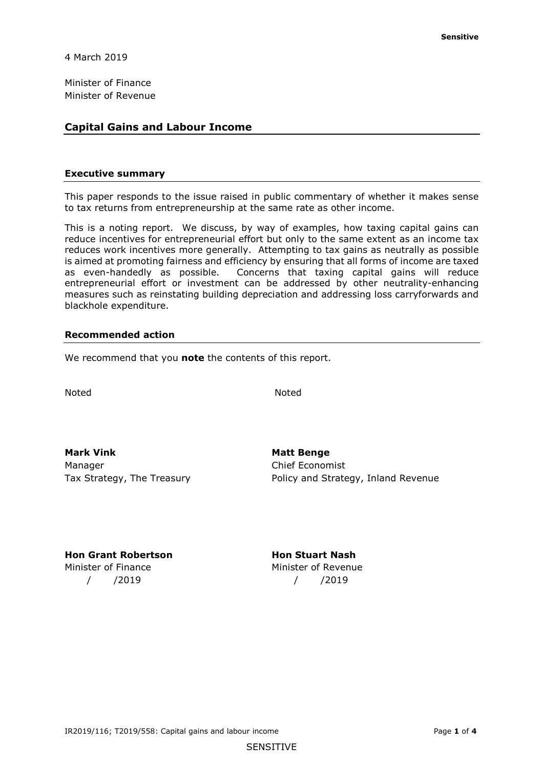4 March 2019

Minister of Finance Minister of Revenue

### **Capital Gains and Labour Income**

#### **Executive summary**

 to tax returns from entrepreneurship at the same rate as other income. This paper responds to the issue raised in public commentary of whether it makes sense

This is a noting report. We discuss, by way of examples, how taxing capital gains can reduce incentives for entrepreneurial effort but only to the same extent as an income tax reduces work incentives more generally. Attempting to tax gains as neutrally as possible is aimed at promoting fairness and efficiency by ensuring that all forms of income are taxed as even-handedly as possible. Concerns that taxing capital gains will reduce entrepreneurial effort or investment can be addressed by other neutrality-enhancing measures such as reinstating building depreciation and addressing loss carryforwards and blackhole expenditure.

#### **Recommended action**

We recommend that you **note** the contents of this report.

**Noted** Noted Noted

**Mark Vink Matt Benge 19 Matt Benge** Manager **Chief Economist** 

Tax Strategy, The Treasury **Policy and Strategy, Inland Revenue** 

**Hon Grant Robertson Monday Hon Stuart Nash** Minister of Finance Minister of Revenue / /2019 / /2019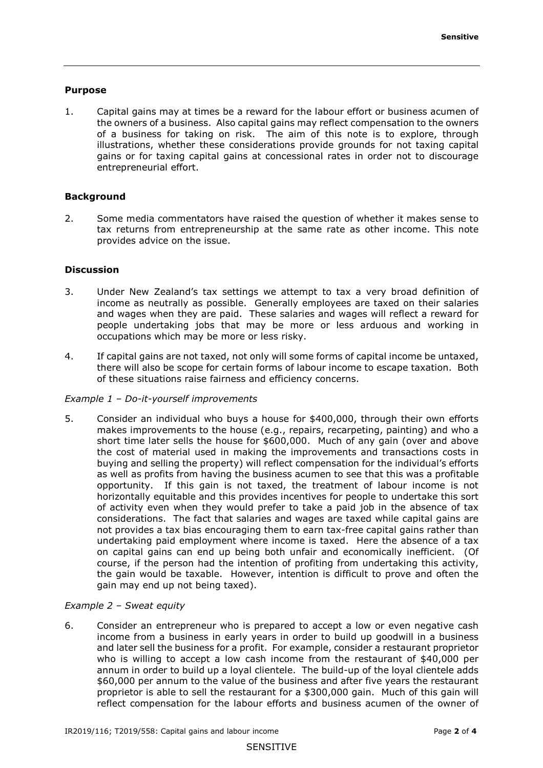#### **Purpose**

 1. Capital gains may at times be a reward for the labour effort or business acumen of of a business for taking on risk. The aim of this note is to explore, through the owners of a business. Also capital gains may reflect compensation to the owners illustrations, whether these considerations provide grounds for not taxing capital gains or for taxing capital gains at concessional rates in order not to discourage entrepreneurial effort.

#### **Background**

 tax returns from entrepreneurship at the same rate as other income. This note 2. Some media commentators have raised the question of whether it makes sense to provides advice on the issue.

#### **Discussion**

- and wages when they are paid. These salaries and wages will reflect a reward for occupations which may be more or less risky. 3. Under New Zealand's tax settings we attempt to tax a very broad definition of income as neutrally as possible. Generally employees are taxed on their salaries people undertaking jobs that may be more or less arduous and working in
- 4. If capital gains are not taxed, not only will some forms of capital income be untaxed, there will also be scope for certain forms of labour income to escape taxation. Both of these situations raise fairness and efficiency concerns.

#### *Example 1 – Do-it-yourself improvements*

 5. Consider an individual who buys a house for \$400,000, through their own efforts makes improvements to the house (e.g., repairs, recarpeting, painting) and who a short time later sells the house for \$600,000. Much of any gain (over and above opportunity. If this gain is not taxed, the treatment of labour income is not undertaking paid employment where income is taxed. Here the absence of a tax the cost of material used in making the improvements and transactions costs in buying and selling the property) will reflect compensation for the individual's efforts as well as profits from having the business acumen to see that this was a profitable horizontally equitable and this provides incentives for people to undertake this sort of activity even when they would prefer to take a paid job in the absence of tax considerations. The fact that salaries and wages are taxed while capital gains are not provides a tax bias encouraging them to earn tax-free capital gains rather than on capital gains can end up being both unfair and economically inefficient. (Of course, if the person had the intention of profiting from undertaking this activity, the gain would be taxable. However, intention is difficult to prove and often the gain may end up not being taxed).

#### *Example 2 – Sweat equity*

 who is willing to accept a low cash income from the restaurant of \$40,000 per annum in order to build up a loyal clientele. The build-up of the loyal clientele adds \$60,000 per annum to the value of the business and after five years the restaurant 6. Consider an entrepreneur who is prepared to accept a low or even negative cash income from a business in early years in order to build up goodwill in a business and later sell the business for a profit. For example, consider a restaurant proprietor proprietor is able to sell the restaurant for a \$300,000 gain. Much of this gain will reflect compensation for the labour efforts and business acumen of the owner of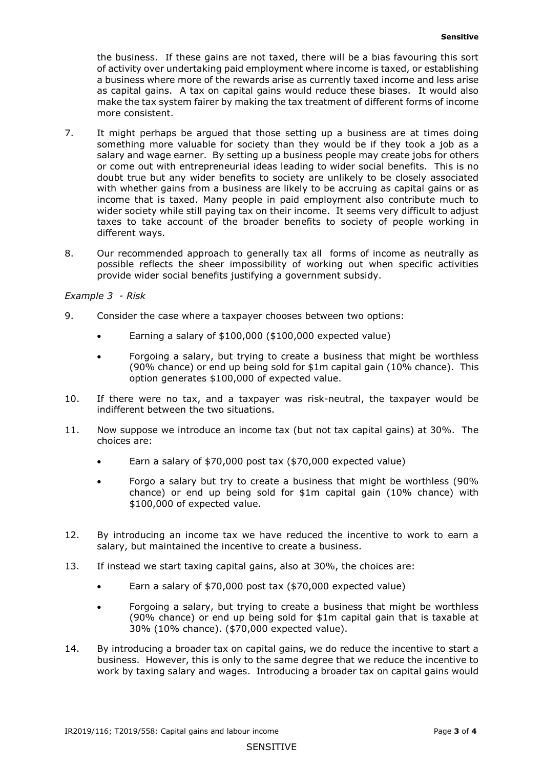the business. If these gains are not taxed, there will be a bias favouring this sort as capital gains. A tax on capital gains would reduce these biases. It would also make the tax system fairer by making the tax treatment of different forms of income of activity over undertaking paid employment where income is taxed, or establishing a business where more of the rewards arise as currently taxed income and less arise more consistent.

- or come out with entrepreneurial ideas leading to wider social benefits. This is no with whether gains from a business are likely to be accruing as capital gains or as wider society while still paying tax on their income. It seems very difficult to adjust different ways. 7. It might perhaps be argued that those setting up a business are at times doing something more valuable for society than they would be if they took a job as a salary and wage earner. By setting up a business people may create jobs for others doubt true but any wider benefits to society are unlikely to be closely associated income that is taxed. Many people in paid employment also contribute much to taxes to take account of the broader benefits to society of people working in
- 8. Our recommended approach to generally tax all forms of income as neutrally as possible reflects the sheer impossibility of working out when specific activities provide wider social benefits justifying a government subsidy.

#### *Example 3 - Risk*

- 9. Consider the case where a taxpayer chooses between two options:
	- Earning a salary of \$100,000 (\$100,000 expected value)
	- (90% chance) or end up being sold for \$1m capital gain (10% chance). This • Forgoing a salary, but trying to create a business that might be worthless option generates \$100,000 of expected value.
- 10. If there were no tax, and a taxpayer was risk-neutral, the taxpayer would be indifferent between the two situations.
- 11. Now suppose we introduce an income tax (but not tax capital gains) at 30%. The choices are:
	- Earn a salary of \$70,000 post tax (\$70,000 expected value)
	- \$100,000 of expected value. • Forgo a salary but try to create a business that might be worthless (90% chance) or end up being sold for \$1m capital gain (10% chance) with
- 12. By introducing an income tax we have reduced the incentive to work to earn a salary, but maintained the incentive to create a business.
- 13. If instead we start taxing capital gains, also at 30%, the choices are:
	- Earn a salary of \$70,000 post tax (\$70,000 expected value)
	- (90% chance) or end up being sold for \$1m capital gain that is taxable at 30% (10% chance). (\$70,000 expected value). • Forgoing a salary, but trying to create a business that might be worthless
- 14. By introducing a broader tax on capital gains, we do reduce the incentive to start a business. However, this is only to the same degree that we reduce the incentive to work by taxing salary and wages. Introducing a broader tax on capital gains would